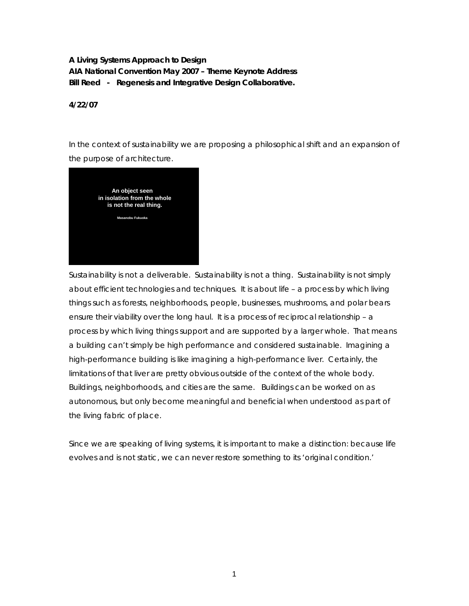**A Living Systems Approach to Design AIA National Convention May 2007 – Theme Keynote Address Bill Reed - Regenesis and Integrative Design Collaborative.** 

**4/22/07** 

In the context of sustainability we are proposing a philosophical shift and an expansion of the purpose of architecture.



Sustainability is not a deliverable. Sustainability is not a thing. Sustainability is not simply about efficient technologies and techniques. It is about life – a process by which living things such as forests, neighborhoods, people, businesses, mushrooms, and polar bears ensure their viability over the long haul. It is a process of *reciprocal relationship* – a process by which living things support and are supported by a larger whole. That means a building can't simply be high performance and considered sustainable. Imagining a high-performance building is like imagining a high-performance liver. Certainly, the limitations of that liver are pretty obvious outside of the context of the whole body. Buildings, neighborhoods, and cities are the same. Buildings can be worked on as autonomous, but only become meaningful and beneficial when understood as part of the living fabric of place.

Since we are speaking of living systems, it is important to make a distinction: because life evolves and is not static, we can never restore something to its 'original condition.'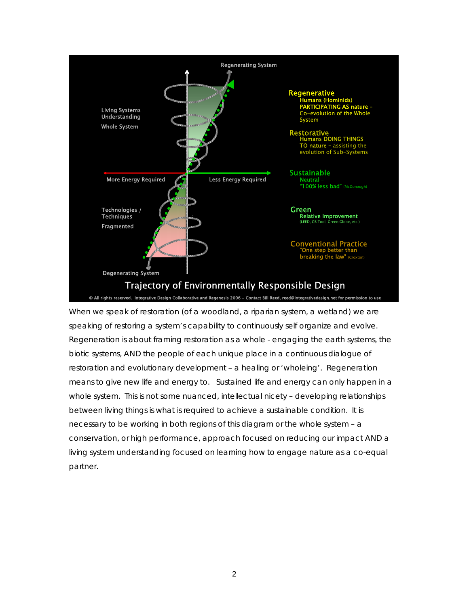

When we speak of restoration (of a woodland, a riparian system, a wetland) we are speaking of restoring a system's *capability* to continuously self organize and evolve. Regeneration is about framing restoration as a whole - engaging the earth systems, the biotic systems, AND the people of each unique place in a continuous dialogue of restoration and evolutionary development – a healing or 'wholeing'. Regeneration means to give new life and energy to. Sustained life and energy can only happen in a whole system. This is not some nuanced, intellectual nicety – developing relationships between living things is what is required to achieve a sustainable condition. It is necessary to be working in both regions of this diagram or the whole system – a conservation, or high performance, approach focused on reducing our impact AND a living system understanding focused on learning how to engage nature as a co-equal partner.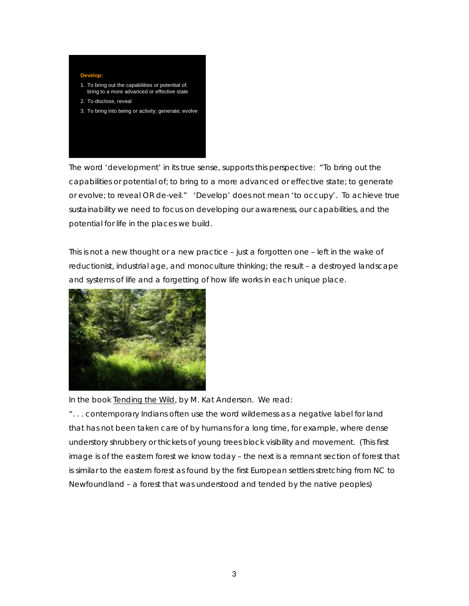

The word 'development' in its true sense, supports this perspective: "To bring out the capabilities or potential of; to bring to a more advanced or effective state; to generate or evolve; to reveal OR de-veil." 'Develop' does not mean 'to occupy'. To achieve true sustainability we need to focus on developing our awareness, our capabilities, and the potential for life in the places we build.

This is not a new thought or a new practice – just a forgotten one – left in the wake of reductionist, industrial age, and monoculture thinking; the result – a destroyed landscape and systems of life and a forgetting of how life works in each unique place.



In the book Tending the Wild, by M. Kat Anderson. We read:

". . . contemporary Indians often use the word *wilderness* as a negative label for land that has not been taken care of by humans for a long time, for example, where dense understory shrubbery or thickets of young trees block visibility and movement. (This first image is of the eastern forest we know today – the next is a remnant section of forest that is similar to the eastern forest as found by the first European settlers stretching from NC to Newfoundland – a forest that was understood and tended by the native peoples)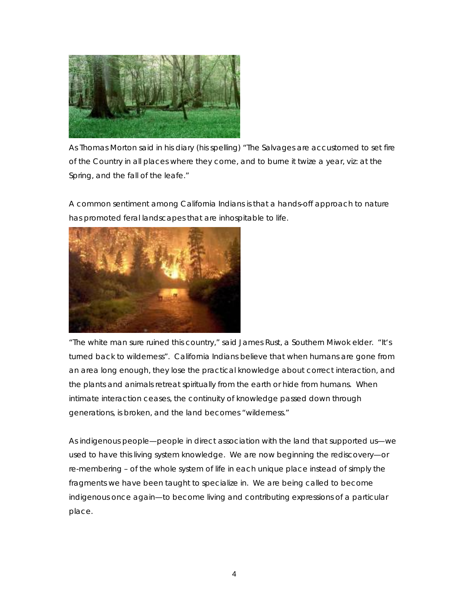

As Thomas Morton said in his diary (his spelling) "The Salvages are accustomed to set fire of the Country in all places where they come, and to burne it twize a year, viz: at the Spring, and the fall of the leafe."

A common sentiment among California Indians is that a hands-off approach to nature has promoted feral landscapes that are inhospitable to life.



"The white man sure ruined this country," said James Rust, a Southern Miwok elder. "It's turned back to wilderness". California Indians believe that when humans are gone from an area long enough, they lose the practical knowledge about correct interaction, and the plants and animals retreat spiritually from the earth or hide from humans. When intimate interaction ceases, the continuity of knowledge passed down through generations, is broken, and the land becomes "wilderness."

As indigenous people—people in direct association with the land that supported us—we used to have this living system knowledge. We are now beginning the rediscovery—or re-membering – of the whole system of life in each unique place instead of simply the fragments we have been taught to specialize in. We are being called to become indigenous once again—to become living and contributing expressions of a particular place.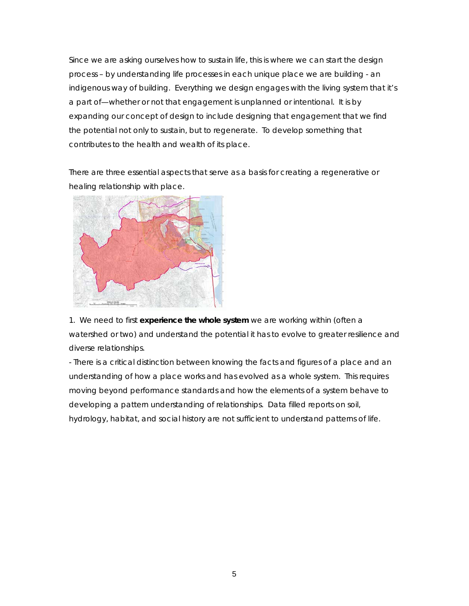Since we are asking ourselves how to sustain life, this is where we can start the design process – by understanding life processes in each unique place we are building - an indigenous way of building. Everything we design engages with the living system that it's a part of—whether or not that engagement is unplanned or intentional. It is by expanding our concept of design to include *designing that engagement* that we find the potential not only to sustain, but to regenerate. To develop something that *contributes* to the health and wealth of its place.

There are three essential aspects that serve as a basis for creating a regenerative or healing relationship with place.



1. We need to first **experience the whole system** we are working within (often a watershed or two) and understand the potential it has to evolve to greater resilience and diverse relationships.

- There is a critical distinction between knowing the facts and figures of a place and an understanding of how a place works and has evolved as a whole system. This requires moving beyond performance standards and how the elements of a system behave to developing a pattern understanding of relationships. Data filled reports on soil, hydrology, habitat, and social history are not sufficient to understand patterns of life.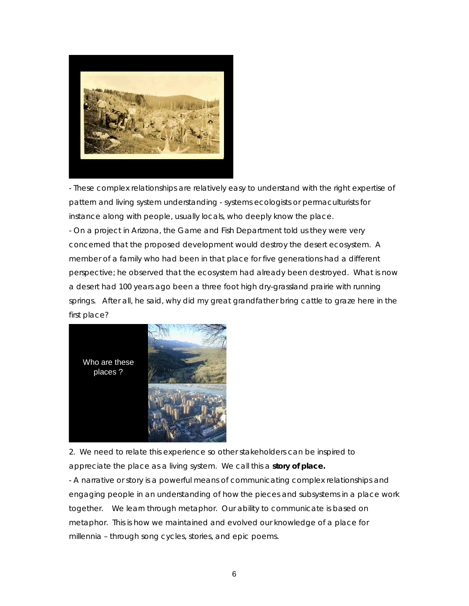

- These complex relationships are relatively easy to understand with the right expertise of pattern and living system understanding - systems ecologists or permaculturists for instance along with people, usually locals, who deeply know the place. - On a project in Arizona, the Game and Fish Department told us they were very concerned that the proposed development would destroy the desert ecosystem. A member of a family who had been in that place for five generations had a different perspective; he observed that the ecosystem had already been destroyed. What is now a desert had 100 years ago been a three foot high dry-grassland prairie with running springs. After all, he said, why did my great grandfather bring cattle to graze here in the first place?



2. We need to relate this experience so other stakeholders can be inspired to appreciate the place as a living system. We call this a **story of place.**

- A narrative or story is a powerful means of communicating complex relationships and engaging people in an understanding of how the pieces and subsystems in a place work together. We learn through metaphor. Our ability to communicate is based on metaphor. This is how we maintained and evolved our knowledge of a place for millennia – through song cycles, stories, and epic poems.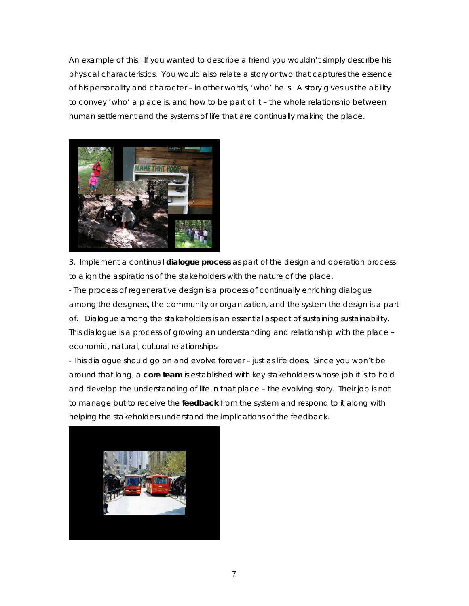An example of this: If you wanted to describe a friend you wouldn't simply describe his physical characteristics. You would also relate a story or two that captures the essence of his personality and character – in other words, 'who' he is. A story gives us the ability to convey 'who' a place is, and how to be part of it – the whole relationship between human settlement and the systems of life that are continually making the place.



3. Implement a continual **dialogue process** as part of the design and operation process to align the aspirations of the stakeholders with the nature of the place.

- The process of regenerative design is a process of continually enriching dialogue among the designers, the community or organization, and the system the design is a part of. Dialogue among the stakeholders is an essential aspect of sustaining sustainability. This dialogue is a process of growing an understanding and relationship with the place – economic, natural, cultural relationships.

- This dialogue should go on and evolve forever – just as life does. Since you won't be around that long, a **core team** is established with key stakeholders whose job it is to hold and develop the understanding of life in that place – the evolving story. Their job is not to manage but to receive the **feedback** from the system and respond to it along with helping the stakeholders understand the implications of the feedback.

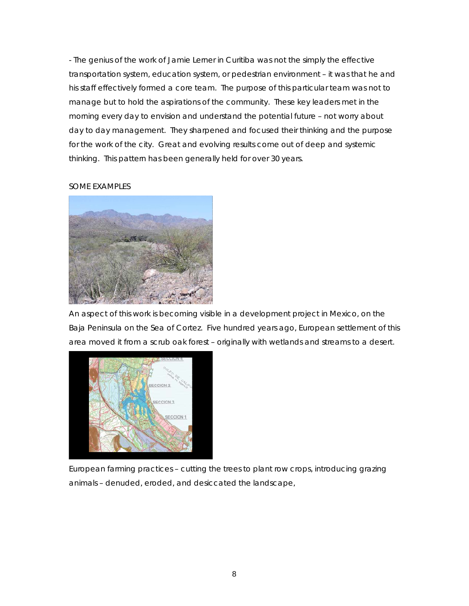- The genius of the work of Jamie Lerner in Curitiba was not the simply the effective transportation system, education system, or pedestrian environment – it was that he and his staff effectively formed a core team. The purpose of this particular team was not to manage but to hold the aspirations of the community. These key leaders met in the morning every day to envision and understand the potential future – not worry about day to day management. They sharpened and focused their thinking and the purpose for the work of the city. Great and evolving results come out of deep and systemic thinking. This pattern has been generally held for over 30 years.

## SOME EXAMPLES



An aspect of this work is becoming visible in a development project in Mexico, on the Baja Peninsula on the Sea of Cortez. Five hundred years ago, European settlement of this area moved it from a scrub oak forest – originally with wetlands and streams to a desert.



European farming practices – cutting the trees to plant row crops, introducing grazing animals – denuded, eroded, and desiccated the landscape,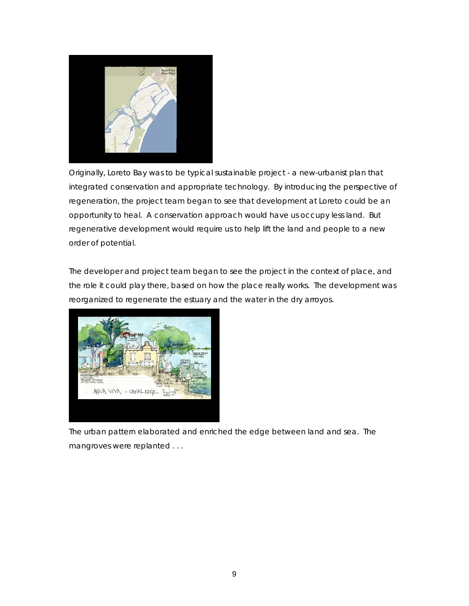

Originally, Loreto Bay was to be typical sustainable project - a new-urbanist plan that integrated conservation and appropriate technology. By introducing the perspective of regeneration, the project team began to see that development at Loreto could be an opportunity to heal. A conservation approach would have us occupy less land. But regenerative development would require us to help lift the land and people to a new order of potential.

The developer and project team began to see the project in the context of place, and the role it could play there, based on how the place really works. The development was reorganized to regenerate the estuary and the water in the dry arroyos.



The urban pattern elaborated and enriched the edge between land and sea. The mangroves were replanted . . .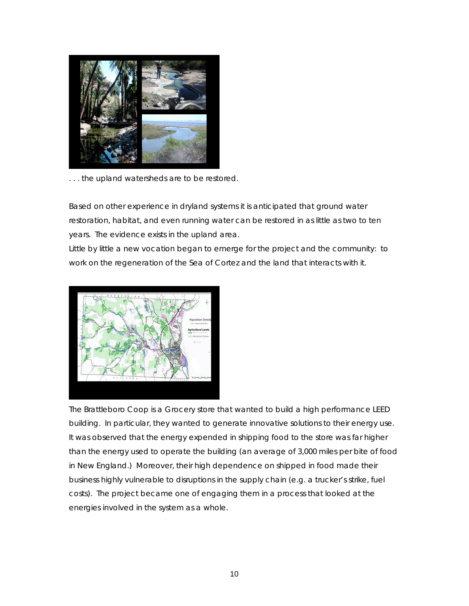

... the upland watersheds are to be restored.

Based on other experience in dryland systems it is anticipated that ground water restoration, habitat, and even running water can be restored in as little as two to ten years. The evidence exists in the upland area.

Little by little a new vocation began to emerge for the project and the community: to work on the regeneration of the Sea of Cortez and the land that interacts with it.



The Brattleboro Coop is a Grocery store that wanted to build a high performance LEED building. In particular, they wanted to generate innovative solutions to their energy use. It was observed that the energy expended in shipping food to the store was far higher than the energy used to operate the building (an average of 3,000 miles per bite of food in New England.) Moreover, their high dependence on shipped in food made their business highly vulnerable to disruptions in the supply chain (e.g. a trucker's strike, fuel costs). The project became one of engaging them in a process that looked at the energies involved in the system as a whole.